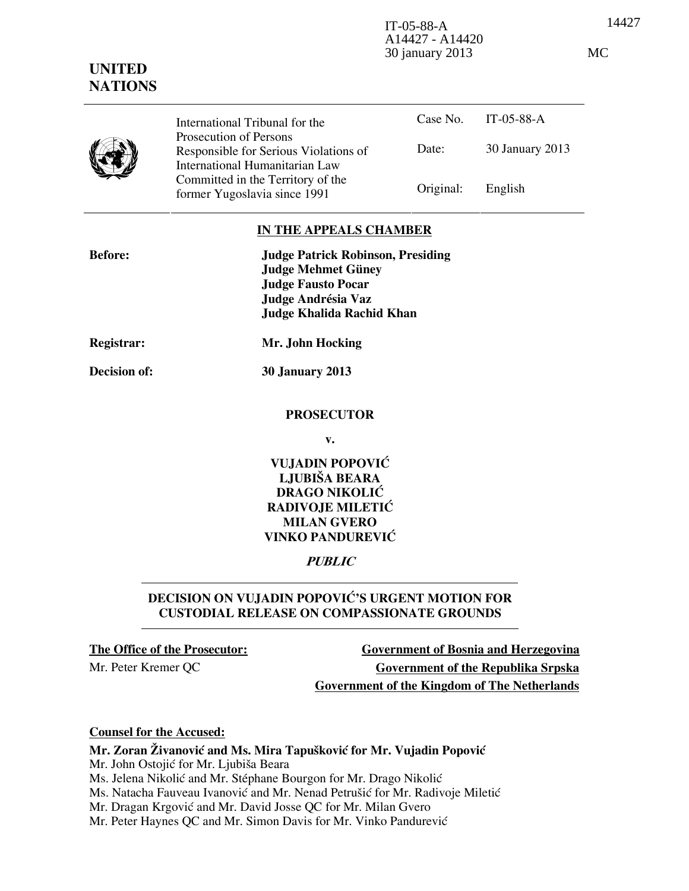14427 IT-05-88-A A14427 - A14420 30 january 2013 MC

# **UNITED NATIONS**

Case No. IT-05-88-A Date: 30 January 2013 International Tribunal for the Prosecution of Persons Responsible for Serious Violations of International Humanitarian Law Committed in the Territory of the Former Yugoslavia since 1991 **Original:** English

## **IN THE APPEALS CHAMBER**

| <b>Before:</b> | <b>Judge Patrick Robinson, Presiding</b><br><b>Judge Mehmet Güney</b><br><b>Judge Fausto Pocar</b><br>Judge Andrésia Vaz<br><b>Judge Khalida Rachid Khan</b> |
|----------------|--------------------------------------------------------------------------------------------------------------------------------------------------------------|
| Registrar:     | Mr. John Hocking                                                                                                                                             |
| Decision of:   | <b>30 January 2013</b>                                                                                                                                       |
|                |                                                                                                                                                              |

#### **PROSECUTOR**

**v.** 

# **VUJADIN POPOVIĆ LJUBIŠA BEARA DRAGO NIKOLIĆ RADIVOJE MILETIĆ MILAN GVERO VINKO PANDUREVIĆ**

## **PUBLIC**

# **DECISION ON VUJADIN POPOVIĆ'S URGENT MOTION FOR CUSTODIAL RELEASE ON COMPASSIONATE GROUNDS**

**The Office of the Prosecutor: Government of Bosnia and Herzegovina** Mr. Peter Kremer QC **Government of the Republika Srpska Government of the Kingdom of The Netherlands**

#### **Counsel for the Accused:**

**Mr. Zoran Živanović and Ms. Mira Tapušković for Mr. Vujadin Popović** 

Mr. John Ostojić for Mr. Ljubiša Beara

Ms. Jelena Nikolić and Mr. Stéphane Bourgon for Mr. Drago Nikolić

Ms. Natacha Fauveau Ivanović and Mr. Nenad Petrušić for Mr. Radivoje Miletić

Mr. Dragan Krgović and Mr. David Josse QC for Mr. Milan Gvero

Mr. Peter Haynes QC and Mr. Simon Davis for Mr. Vinko Pandurević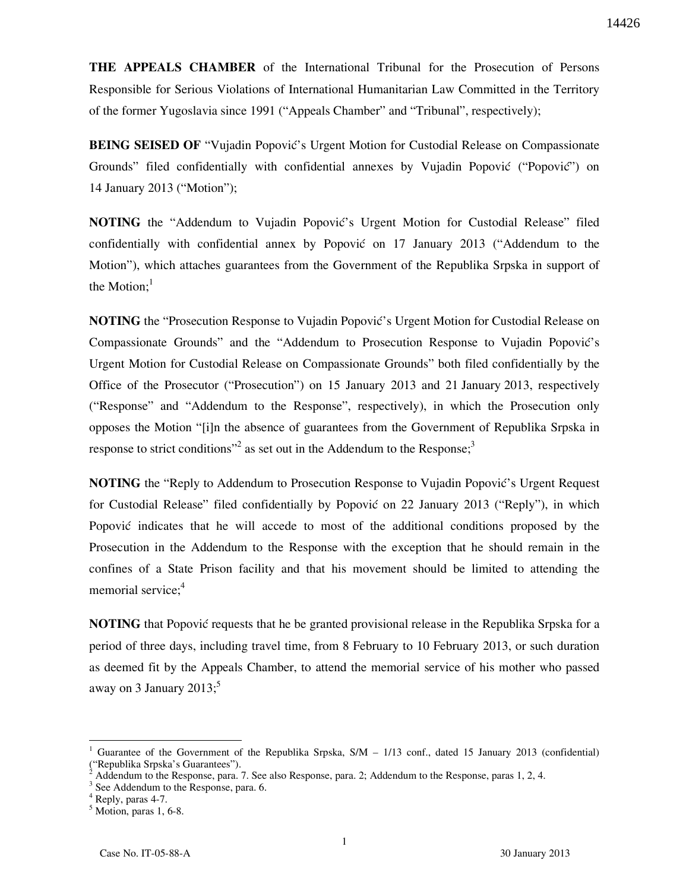**THE APPEALS CHAMBER** of the International Tribunal for the Prosecution of Persons Responsible for Serious Violations of International Humanitarian Law Committed in the Territory of the former Yugoslavia since 1991 ("Appeals Chamber" and "Tribunal", respectively);

**BEING SEISED OF** "Vujadin Popović's Urgent Motion for Custodial Release on Compassionate Grounds" filed confidentially with confidential annexes by Vujadin Popović ("Popović") on 14 January 2013 ("Motion");

**NOTING** the "Addendum to Vujadin Popović's Urgent Motion for Custodial Release" filed confidentially with confidential annex by Popović on 17 January 2013 ("Addendum to the Motion"), which attaches guarantees from the Government of the Republika Srpska in support of the Motion: $<sup>1</sup>$ </sup>

**NOTING** the "Prosecution Response to Vujadin Popović's Urgent Motion for Custodial Release on Compassionate Grounds" and the "Addendum to Prosecution Response to Vujadin Popović's Urgent Motion for Custodial Release on Compassionate Grounds" both filed confidentially by the Office of the Prosecutor ("Prosecution") on 15 January 2013 and 21 January 2013, respectively ("Response" and "Addendum to the Response", respectively), in which the Prosecution only opposes the Motion "[i]n the absence of guarantees from the Government of Republika Srpska in response to strict conditions<sup>32</sup> as set out in the Addendum to the Response;<sup>3</sup>

**NOTING** the "Reply to Addendum to Prosecution Response to Vujadin Popović's Urgent Request for Custodial Release" filed confidentially by Popović on 22 January 2013 ("Reply"), in which Popović indicates that he will accede to most of the additional conditions proposed by the Prosecution in the Addendum to the Response with the exception that he should remain in the confines of a State Prison facility and that his movement should be limited to attending the memorial service:<sup>4</sup>

**NOTING** that Popović requests that he be granted provisional release in the Republika Srpska for a period of three days, including travel time, from 8 February to 10 February 2013, or such duration as deemed fit by the Appeals Chamber, to attend the memorial service of his mother who passed away on 3 January 2013; $^5$ 

 $\overline{a}$ 

<sup>1</sup> Guarantee of the Government of the Republika Srpska, S/M – 1/13 conf., dated 15 January 2013 (confidential) ("Republika Srpska's Guarantees").

 $\dot{2}$ Addendum to the Response, para. 7. See also Response, para. 2; Addendum to the Response, paras 1, 2, 4.

<sup>&</sup>lt;sup>3</sup> See Addendum to the Response, para. 6.

<sup>4</sup> Reply, paras 4-7.

 $<sup>5</sup>$  Motion, paras 1, 6-8.</sup>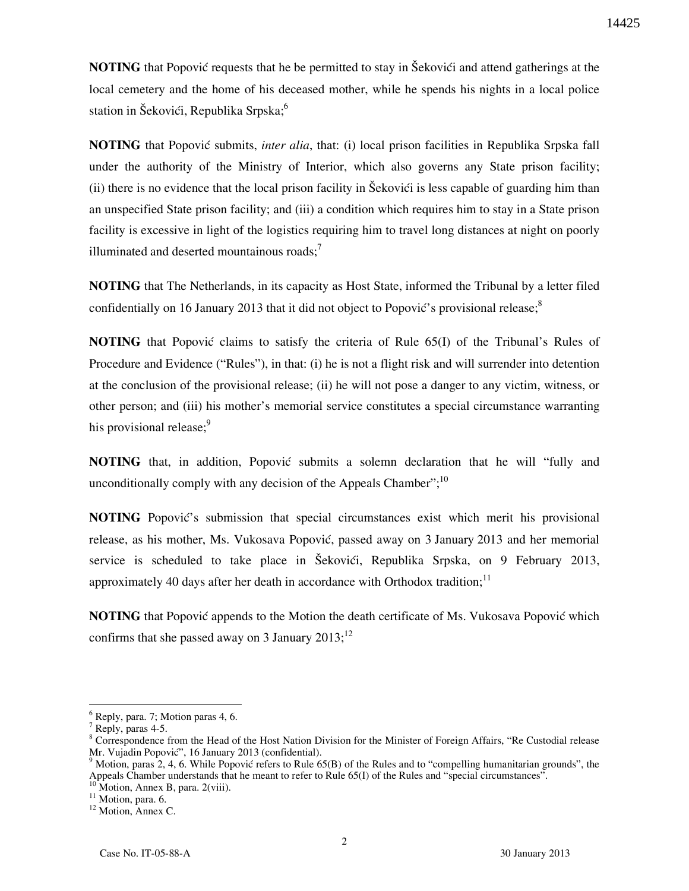**NOTING** that Popović requests that he be permitted to stay in Šekovići and attend gatherings at the local cemetery and the home of his deceased mother, while he spends his nights in a local police station in Šekovići, Republika Srpska;<sup>6</sup>

**NOTING** that Popović submits, *inter alia*, that: (i) local prison facilities in Republika Srpska fall under the authority of the Ministry of Interior, which also governs any State prison facility; (ii) there is no evidence that the local prison facility in Šekovići is less capable of guarding him than an unspecified State prison facility; and (iii) a condition which requires him to stay in a State prison facility is excessive in light of the logistics requiring him to travel long distances at night on poorly illuminated and deserted mountainous roads; $\overline{7}$ 

**NOTING** that The Netherlands, in its capacity as Host State, informed the Tribunal by a letter filed confidentially on 16 January 2013 that it did not object to Popović's provisional release; $^8$ 

**NOTING** that Popović claims to satisfy the criteria of Rule 65(I) of the Tribunal's Rules of Procedure and Evidence ("Rules"), in that: (i) he is not a flight risk and will surrender into detention at the conclusion of the provisional release; (ii) he will not pose a danger to any victim, witness, or other person; and (iii) his mother's memorial service constitutes a special circumstance warranting his provisional release;<sup>9</sup>

**NOTING** that, in addition, Popović submits a solemn declaration that he will "fully and unconditionally comply with any decision of the Appeals Chamber";  $10<sup>10</sup>$ 

**NOTING** Popović's submission that special circumstances exist which merit his provisional release, as his mother, Ms. Vukosava Popović, passed away on 3 January 2013 and her memorial service is scheduled to take place in Šekovići, Republika Srpska, on 9 February 2013, approximately 40 days after her death in accordance with Orthodox tradition;<sup>11</sup>

**NOTING** that Popović appends to the Motion the death certificate of Ms. Vukosava Popović which confirms that she passed away on 3 January  $2013$ ;<sup>12</sup>

 $\overline{a}$ 

<sup>6</sup> Reply, para. 7; Motion paras 4, 6.

 $7$  Reply, paras 4-5.

<sup>&</sup>lt;sup>8</sup> Correspondence from the Head of the Host Nation Division for the Minister of Foreign Affairs, "Re Custodial release Mr. Vujadin Popović", 16 January 2013 (confidential).

 $9$  Motion, paras 2, 4, 6. While Popović refers to Rule 65(B) of the Rules and to "compelling humanitarian grounds", the Appeals Chamber understands that he meant to refer to Rule 65(I) of the Rules and "special circumstances".

Motion, Annex B, para. 2(viii).

<sup>&</sup>lt;sup>11</sup> Motion, para. 6.

<sup>&</sup>lt;sup>12</sup> Motion, Annex C.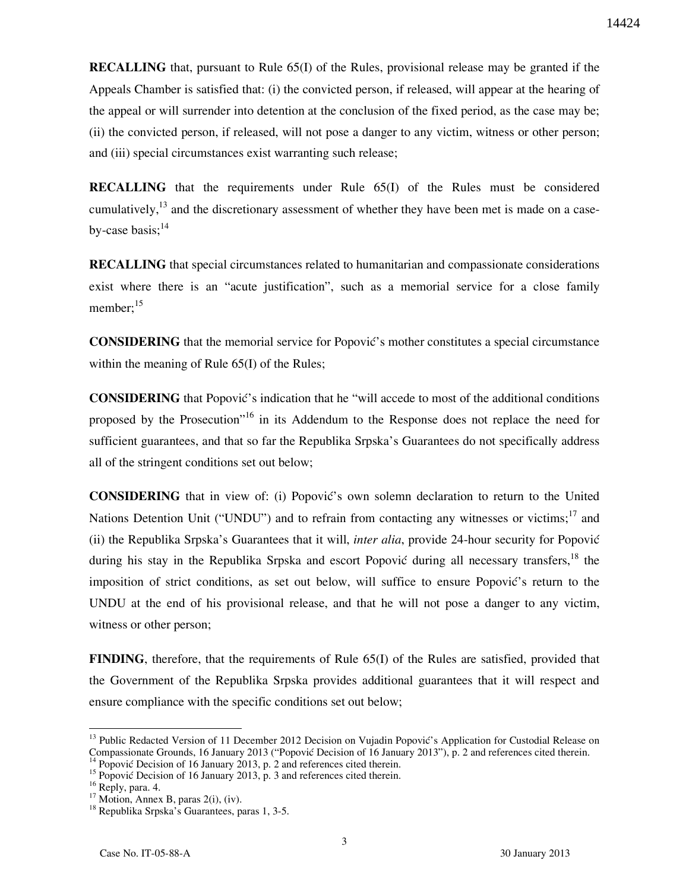**RECALLING** that, pursuant to Rule 65(I) of the Rules, provisional release may be granted if the Appeals Chamber is satisfied that: (i) the convicted person, if released, will appear at the hearing of the appeal or will surrender into detention at the conclusion of the fixed period, as the case may be; (ii) the convicted person, if released, will not pose a danger to any victim, witness or other person; and (iii) special circumstances exist warranting such release;

**RECALLING** that the requirements under Rule 65(I) of the Rules must be considered cumulatively,  $13$  and the discretionary assessment of whether they have been met is made on a caseby-case basis; $^{14}$ 

**RECALLING** that special circumstances related to humanitarian and compassionate considerations exist where there is an "acute justification", such as a memorial service for a close family member; $^{15}$ 

**CONSIDERING** that the memorial service for Popovic's mother constitutes a special circumstance within the meaning of Rule 65(I) of the Rules;

**CONSIDERING** that Popović's indication that he "will accede to most of the additional conditions proposed by the Prosecution<sup>"16</sup> in its Addendum to the Response does not replace the need for sufficient guarantees, and that so far the Republika Srpska's Guarantees do not specifically address all of the stringent conditions set out below;

**CONSIDERING** that in view of: (i) Popović's own solemn declaration to return to the United Nations Detention Unit ("UNDU") and to refrain from contacting any witnesses or victims;  $17 \text{ and } 10 \text{ m}$ (ii) the Republika Srpska's Guarantees that it will, *inter alia*, provide 24-hour security for Popović during his stay in the Republika Srpska and escort Popović during all necessary transfers.<sup>18</sup> the imposition of strict conditions, as set out below, will suffice to ensure Popović's return to the UNDU at the end of his provisional release, and that he will not pose a danger to any victim, witness or other person;

**FINDING**, therefore, that the requirements of Rule 65(I) of the Rules are satisfied, provided that the Government of the Republika Srpska provides additional guarantees that it will respect and ensure compliance with the specific conditions set out below;

 $\overline{a}$ 

<sup>&</sup>lt;sup>13</sup> Public Redacted Version of 11 December 2012 Decision on Vujadin Popović's Application for Custodial Release on Compassionate Grounds, 16 January 2013 ("Popović Decision of 16 January 2013"), p. 2 and references cited therein.

 $^{14}$  Popović Decision of 16 January 2013, p. 2 and references cited therein.

<sup>&</sup>lt;sup>15</sup> Popović Decision of 16 January 2013, p. 3 and references cited therein.

<sup>&</sup>lt;sup>16</sup> Reply, para. 4.

 $17$  Motion, Annex B, paras 2(i), (iv).

<sup>&</sup>lt;sup>18</sup> Republika Srpska's Guarantees, paras 1, 3-5.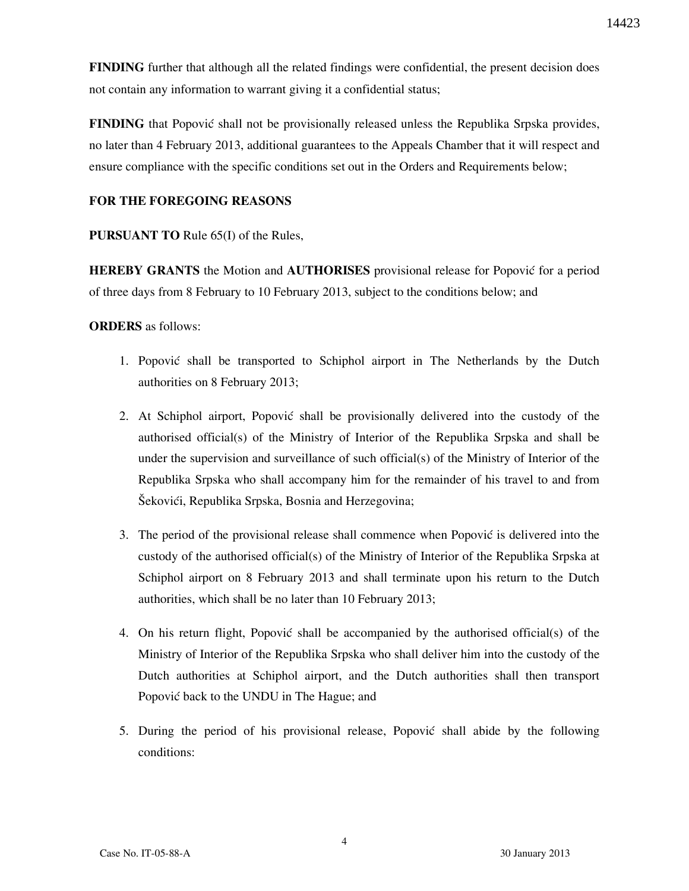**FINDING** further that although all the related findings were confidential, the present decision does not contain any information to warrant giving it a confidential status;

**FINDING** that Popović shall not be provisionally released unless the Republika Srpska provides, no later than 4 February 2013, additional guarantees to the Appeals Chamber that it will respect and ensure compliance with the specific conditions set out in the Orders and Requirements below;

## **FOR THE FOREGOING REASONS**

## **PURSUANT TO** Rule 65(I) of the Rules,

**HEREBY GRANTS** the Motion and **AUTHORISES** provisional release for Popović for a period of three days from 8 February to 10 February 2013, subject to the conditions below; and

#### **ORDERS** as follows:

- 1. Popović shall be transported to Schiphol airport in The Netherlands by the Dutch authorities on 8 February 2013;
- 2. At Schiphol airport, Popović shall be provisionally delivered into the custody of the authorised official(s) of the Ministry of Interior of the Republika Srpska and shall be under the supervision and surveillance of such official(s) of the Ministry of Interior of the Republika Srpska who shall accompany him for the remainder of his travel to and from Šekovići, Republika Srpska, Bosnia and Herzegovina;
- 3. The period of the provisional release shall commence when Popović is delivered into the custody of the authorised official(s) of the Ministry of Interior of the Republika Srpska at Schiphol airport on 8 February 2013 and shall terminate upon his return to the Dutch authorities, which shall be no later than 10 February 2013;
- 4. On his return flight, Popović shall be accompanied by the authorised official(s) of the Ministry of Interior of the Republika Srpska who shall deliver him into the custody of the Dutch authorities at Schiphol airport, and the Dutch authorities shall then transport Popović back to the UNDU in The Hague; and
- 5. During the period of his provisional release, Popović shall abide by the following conditions: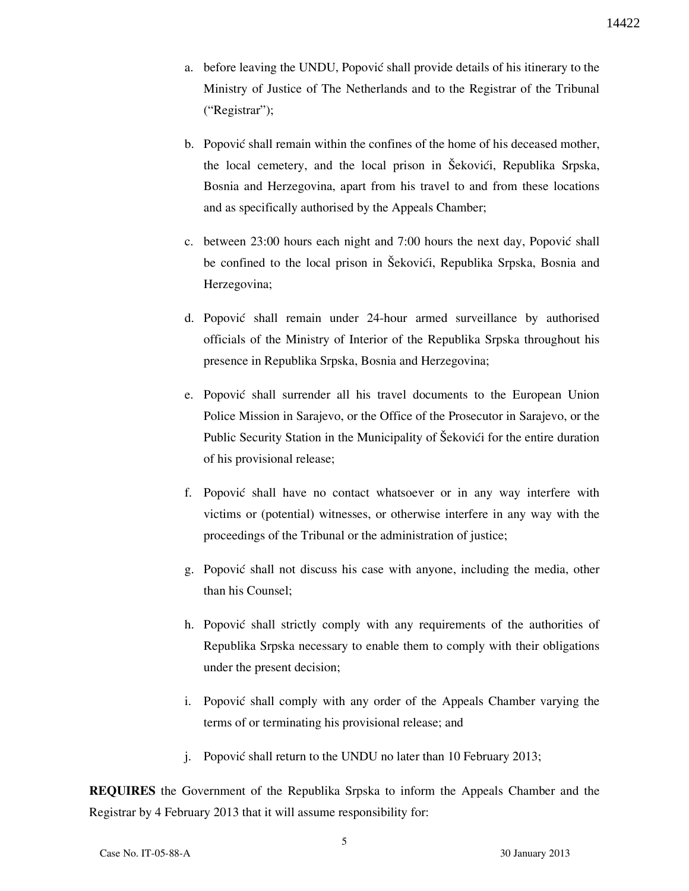- a. before leaving the UNDU, Popović shall provide details of his itinerary to the Ministry of Justice of The Netherlands and to the Registrar of the Tribunal ("Registrar");
- b. Popović shall remain within the confines of the home of his deceased mother, the local cemetery, and the local prison in Šekovići, Republika Srpska, Bosnia and Herzegovina, apart from his travel to and from these locations and as specifically authorised by the Appeals Chamber;
- c. between 23:00 hours each night and 7:00 hours the next day, Popović shall be confined to the local prison in Šekovići, Republika Srpska, Bosnia and Herzegovina;
- d. Popović shall remain under 24-hour armed surveillance by authorised officials of the Ministry of Interior of the Republika Srpska throughout his presence in Republika Srpska, Bosnia and Herzegovina;
- e. Popović shall surrender all his travel documents to the European Union Police Mission in Sarajevo, or the Office of the Prosecutor in Sarajevo, or the Public Security Station in the Municipality of Šekovići for the entire duration of his provisional release;
- f. Popović shall have no contact whatsoever or in any way interfere with victims or (potential) witnesses, or otherwise interfere in any way with the proceedings of the Tribunal or the administration of justice;
- g. Popović shall not discuss his case with anyone, including the media, other than his Counsel;
- h. Popović shall strictly comply with any requirements of the authorities of Republika Srpska necessary to enable them to comply with their obligations under the present decision;
- i. Popović shall comply with any order of the Appeals Chamber varying the terms of or terminating his provisional release; and
- j. Popović shall return to the UNDU no later than 10 February 2013;

**REQUIRES** the Government of the Republika Srpska to inform the Appeals Chamber and the Registrar by 4 February 2013 that it will assume responsibility for: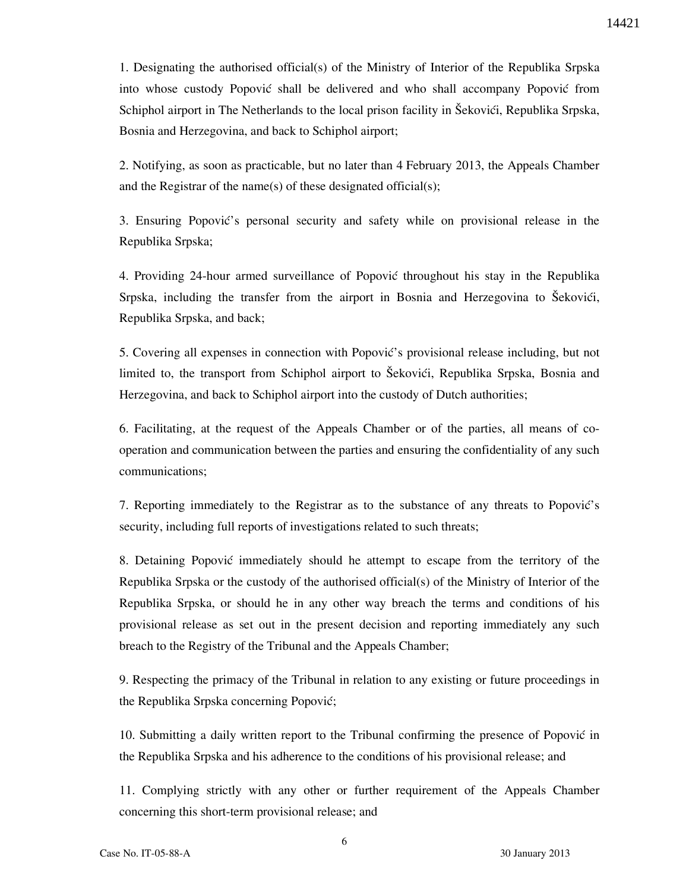1. Designating the authorised official(s) of the Ministry of Interior of the Republika Srpska into whose custody Popović shall be delivered and who shall accompany Popović from Schiphol airport in The Netherlands to the local prison facility in Šekovići, Republika Srpska, Bosnia and Herzegovina, and back to Schiphol airport;

2. Notifying, as soon as practicable, but no later than 4 February 2013, the Appeals Chamber and the Registrar of the name(s) of these designated official(s);

3. Ensuring Popović's personal security and safety while on provisional release in the Republika Srpska;

4. Providing 24-hour armed surveillance of Popović throughout his stay in the Republika Srpska, including the transfer from the airport in Bosnia and Herzegovina to Šekovići, Republika Srpska, and back;

5. Covering all expenses in connection with Popović's provisional release including, but not limited to, the transport from Schiphol airport to Šekovići, Republika Srpska, Bosnia and Herzegovina, and back to Schiphol airport into the custody of Dutch authorities;

6. Facilitating, at the request of the Appeals Chamber or of the parties, all means of cooperation and communication between the parties and ensuring the confidentiality of any such communications;

7. Reporting immediately to the Registrar as to the substance of any threats to Popović's security, including full reports of investigations related to such threats;

8. Detaining Popović immediately should he attempt to escape from the territory of the Republika Srpska or the custody of the authorised official(s) of the Ministry of Interior of the Republika Srpska, or should he in any other way breach the terms and conditions of his provisional release as set out in the present decision and reporting immediately any such breach to the Registry of the Tribunal and the Appeals Chamber;

9. Respecting the primacy of the Tribunal in relation to any existing or future proceedings in the Republika Srpska concerning Popović;

10. Submitting a daily written report to the Tribunal confirming the presence of Popović in the Republika Srpska and his adherence to the conditions of his provisional release; and

11. Complying strictly with any other or further requirement of the Appeals Chamber concerning this short-term provisional release; and

6